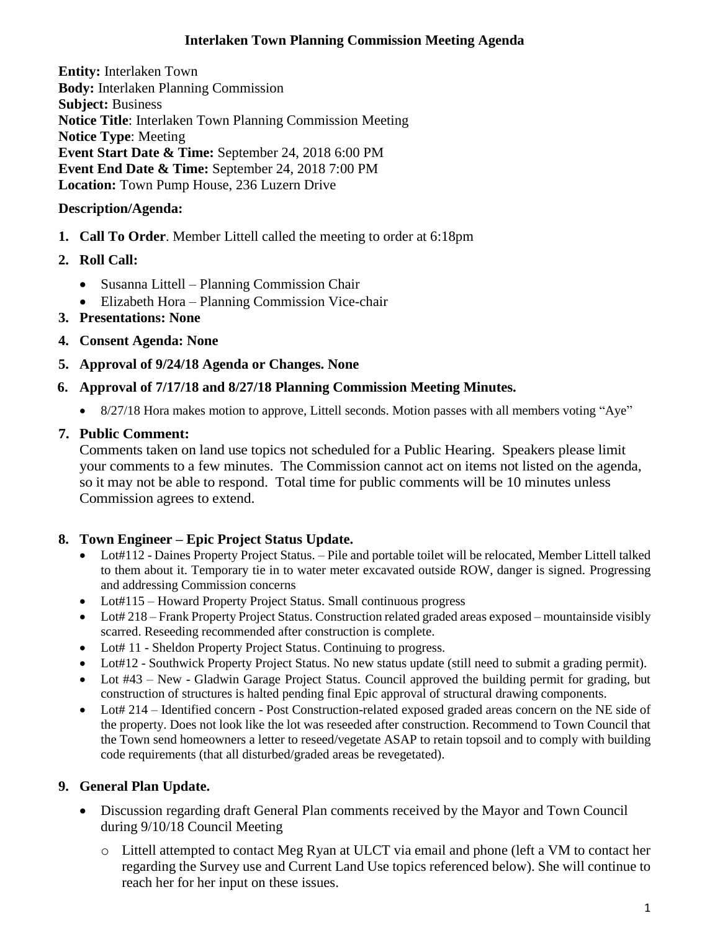#### **Interlaken Town Planning Commission Meeting Agenda**

**Entity:** Interlaken Town **Body:** Interlaken [Planning Commission](http://www.utah.gov/pmn/sitemap/publicbody/5029.html) **Subject:** Business **Notice Title**: Interlaken Town Planning Commission Meeting **Notice Type**: Meeting **Event Start Date & Time:** September 24, 2018 6:00 PM **Event End Date & Time:** September 24, 2018 7:00 PM **Location:** Town Pump House, 236 Luzern Drive

#### **Description/Agenda:**

- **1. Call To Order**. Member Littell called the meeting to order at 6:18pm
- **2. Roll Call:**
	- Susanna Littell Planning Commission Chair
	- Elizabeth Hora Planning Commission Vice-chair
- **3. Presentations: None**
- **4. Consent Agenda: None**
- **5. Approval of 9/24/18 Agenda or Changes. None**

#### **6. Approval of 7/17/18 and 8/27/18 Planning Commission Meeting Minutes.**

• 8/27/18 Hora makes motion to approve, Littell seconds. Motion passes with all members voting "Aye"

# **7. Public Comment:**

Comments taken on land use topics not scheduled for a Public Hearing. Speakers please limit your comments to a few minutes. The Commission cannot act on items not listed on the agenda, so it may not be able to respond. Total time for public comments will be 10 minutes unless Commission agrees to extend.

# **8. Town Engineer – Epic Project Status Update.**

- Lot#112 Daines Property Project Status. Pile and portable toilet will be relocated, Member Littell talked to them about it. Temporary tie in to water meter excavated outside ROW, danger is signed. Progressing and addressing Commission concerns
- Lot#115 Howard Property Project Status. Small continuous progress
- Lot# 218 Frank Property Project Status. Construction related graded areas exposed mountainside visibly scarred. Reseeding recommended after construction is complete.
- Lot# 11 Sheldon Property Project Status. Continuing to progress.
- Lot#12 Southwick Property Project Status. No new status update (still need to submit a grading permit).
- Lot #43 New Gladwin Garage Project Status. Council approved the building permit for grading, but construction of structures is halted pending final Epic approval of structural drawing components.
- Lot# 214 Identified concern Post Construction-related exposed graded areas concern on the NE side of the property. Does not look like the lot was reseeded after construction. Recommend to Town Council that the Town send homeowners a letter to reseed/vegetate ASAP to retain topsoil and to comply with building code requirements (that all disturbed/graded areas be revegetated).

# **9. General Plan Update.**

- Discussion regarding draft General Plan comments received by the Mayor and Town Council during 9/10/18 Council Meeting
	- o Littell attempted to contact Meg Ryan at ULCT via email and phone (left a VM to contact her regarding the Survey use and Current Land Use topics referenced below). She will continue to reach her for her input on these issues.